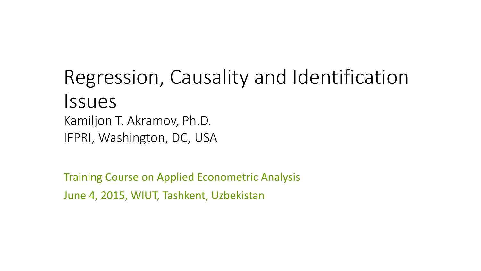#### Regression, Causality and Identification Issues Kamiljon T. Akramov, Ph.D. IFPRI, Washington, DC, USA

Training Course on Applied Econometric Analysis June 4, 2015, WIUT, Tashkent, Uzbekistan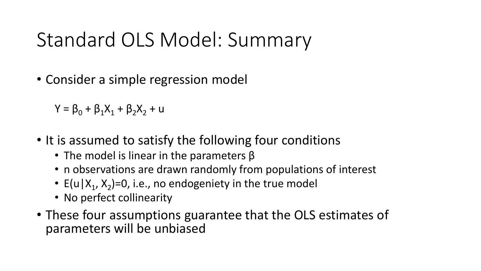# Standard OLS Model: Summary

• Consider a simple regression model

 $Y = \beta_0 + \beta_1 X_1 + \beta_2 X_2 + u$ 

- It is assumed to satisfy the following four conditions
	- The model is linear in the parameters  $\beta$
	- n observations are drawn randomly from populations of interest
	- E(u|X<sub>1</sub>, X<sub>2</sub>)=0, i.e., no endogeniety in the true model
	- No perfect collinearity
- These four assumptions guarantee that the OLS estimates of parameters will be unbiased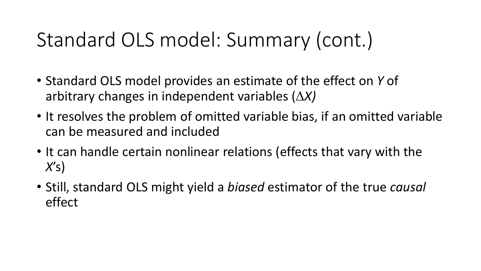# Standard OLS model: Summary (cont.)

- Standard OLS model provides an estimate of the effect on *Y* of arbitrary changes in independent variables (∆*X)*
- It resolves the problem of omitted variable bias, if an omitted variable can be measured and included
- It can handle certain nonlinear relations (effects that vary with the *X*'s)
- Still, standard OLS might yield a *biased* estimator of the true *causal* effect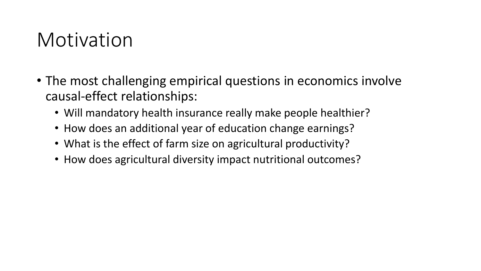#### Motivation

- The most challenging empirical questions in economics involve causal-effect relationships:
	- Will mandatory health insurance really make people healthier?
	- How does an additional year of education change earnings?
	- What is the effect of farm size on agricultural productivity?
	- How does agricultural diversity impact nutritional outcomes?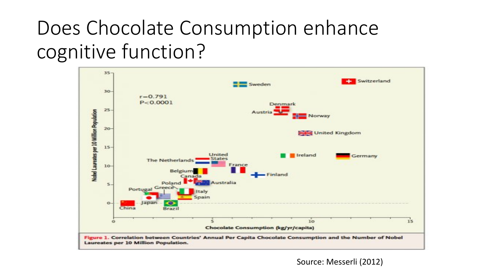# Does Chocolate Consumption enhance cognitive function?



Source: Messerli (2012)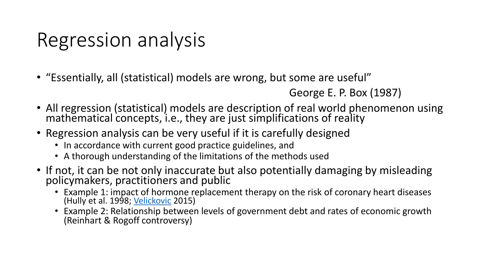# Regression analysis

• "Essentially, all (statistical) models are wrong, but some are useful"

```
George E. P. Box (1987)
```
- All regression (statistical) models are description of real world phenomenon using mathematical concepts, i.e., they are just simplifications of reality
- Regression analysis can be very useful if it is carefully designed
	- In accordance with current good practice guidelines, and
	- A thorough understanding of the limitations of the methods used
- If not, it can be not only inaccurate but also potentially damaging by misleading policymakers, practitioners and public
	- Example 1: impact of hormone replacement therapy on the risk of coronary heart diseases (Hully et al. 1998; <u>[Velickovic](http://www.americanscientist.org/authors/detail/vladica-velickovic)</u> 2015)
	- Example 2: Relationship between levels of government debt and rates of economic growth (Reinhart & Rogoff controversy)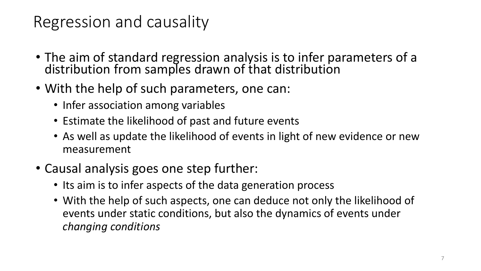#### Regression and causality

- The aim of standard regression analysis is to infer parameters of a distribution from samples drawn of that distribution
- With the help of such parameters, one can:
	- Infer association among variables
	- Estimate the likelihood of past and future events
	- As well as update the likelihood of events in light of new evidence or new measurement
- Causal analysis goes one step further:
	- Its aim is to infer aspects of the data generation process
	- With the help of such aspects, one can deduce not only the likelihood of events under static conditions, but also the dynamics of events under *changing conditions*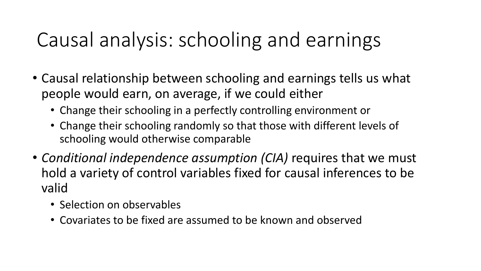### Causal analysis: schooling and earnings

- Causal relationship between schooling and earnings tells us what people would earn, on average, if we could either
	- Change their schooling in a perfectly controlling environment or
	- Change their schooling randomly so that those with different levels of schooling would otherwise comparable
- *Conditional independence assumption (CIA)* requires that we must hold a variety of control variables fixed for causal inferences to be valid
	- Selection on observables
	- Covariates to be fixed are assumed to be known and observed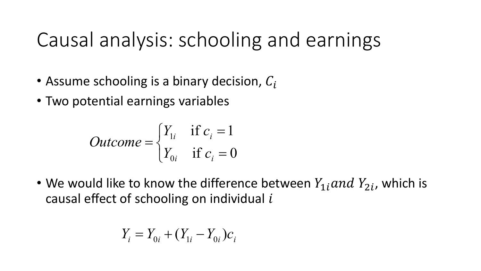### Causal analysis: schooling and earnings

- Assume schooling is a binary decision,  $C_i$
- Two potential earnings variables

$$
Outcome = \begin{cases} Y_{1i} & \text{if } c_i = 1\\ Y_{0i} & \text{if } c_i = 0 \end{cases}
$$

• We would like to know the difference between  $Y_{1i}$  and  $Y_{2i}$ , which is causal effect of schooling on individual  $i$ 

$$
Y_i = Y_{0i} + (Y_{1i} - Y_{0i})c_i
$$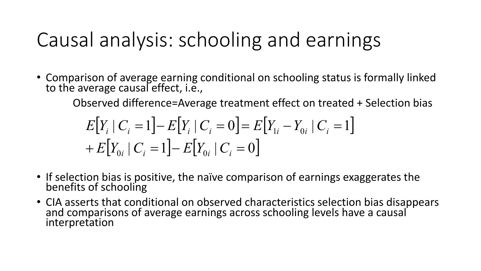### Causal analysis: schooling and earnings

• Comparison of average earning conditional on schooling status is formally linked to the average causal effect, i.e.,

Observed difference=Average treatment effect on treated + Selection bias

$$
E[Y_i | C_i = 1] - E[Y_i | C_i = 0] = E[Y_{1i} - Y_{0i} | C_i = 1]
$$
  
+ 
$$
E[Y_{0i} | C_i = 1] - E[Y_{0i} | C_i = 0]
$$

- If selection bias is positive, the naïve comparison of earnings exaggerates the benefits of schooling
- CIA asserts that conditional on observed characteristics selection bias disappears and comparisons of average earnings across schooling levels have a causal interpretation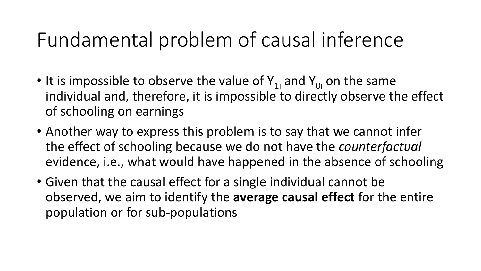### Fundamental problem of causal inference

- It is impossible to observe the value of  $Y_{1i}$  and  $Y_{0i}$  on the same individual and, therefore, it is impossible to directly observe the effect of schooling on earnings
- Another way to express this problem is to say that we cannot infer the effect of schooling because we do not have the *counterfactual* evidence, i.e., what would have happened in the absence of schooling
- Given that the causal effect for a single individual cannot be observed, we aim to identify the **average causal effect** for the entire population or for sub-populations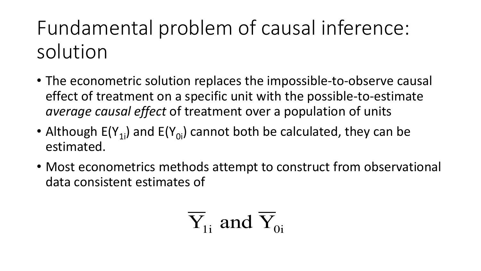Fundamental problem of causal inference: solution

- The econometric solution replaces the impossible-to-observe causal effect of treatment on a specific unit with the possible-to-estimate *average causal effect* of treatment over a population of units
- Although  $E(Y_{1i})$  and  $E(Y_{0i})$  cannot both be calculated, they can be estimated.
- Most econometrics methods attempt to construct from observational data consistent estimates of

$$
\overline{Y}_{1i}
$$
 and  $\overline{Y}_{0i}$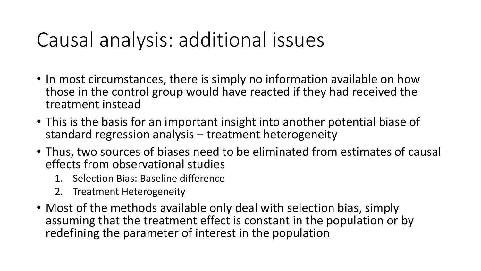### Causal analysis: additional issues

- In most circumstances, there is simply no information available on how those in the control group would have reacted if they had received the treatment instead
- This is the basis for an important insight into another potential biase of standard regression analysis – treatment heterogeneity
- Thus, two sources of biases need to be eliminated from estimates of causal effects from observational studies
	- 1. Selection Bias: Baseline difference
	- 2. Treatment Heterogeneity
- Most of the methods available only deal with selection bias, simply assuming that the treatment effect is constant in the population or by redefining the parameter of interest in the population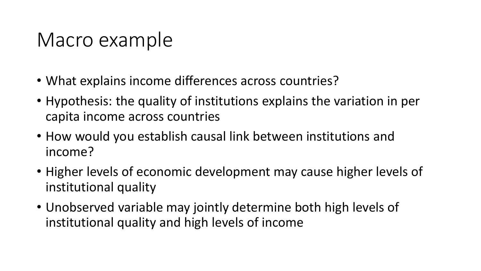#### Macro example

- What explains income differences across countries?
- Hypothesis: the quality of institutions explains the variation in per capita income across countries
- How would you establish causal link between institutions and income?
- Higher levels of economic development may cause higher levels of institutional quality
- Unobserved variable may jointly determine both high levels of institutional quality and high levels of income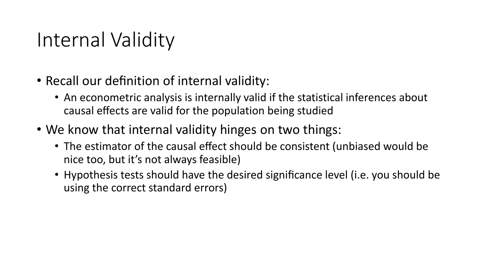### Internal Validity

- Recall our definition of internal validity:
	- An econometric analysis is internally valid if the statistical inferences about causal effects are valid for the population being studied
- We know that internal validity hinges on two things:
	- The estimator of the causal effect should be consistent (unbiased would be nice too, but it's not always feasible)
	- Hypothesis tests should have the desired significance level (i.e. you should be using the correct standard errors)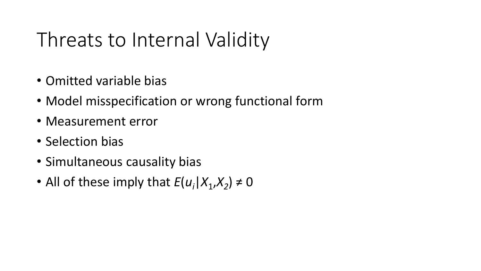### Threats to Internal Validity

- Omitted variable bias
- Model misspecification or wrong functional form
- Measurement error
- Selection bias
- Simultaneous causality bias
- All of these imply that  $E(u_i|X_1,X_2) \neq 0$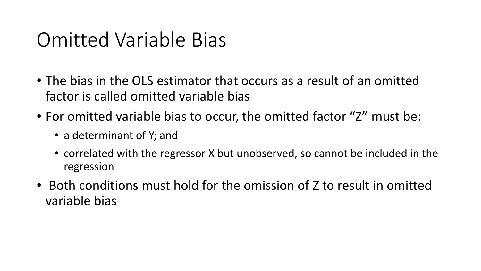### Omitted Variable Bias

- The bias in the OLS estimator that occurs as a result of an omitted factor is called omitted variable bias
- For omitted variable bias to occur, the omitted factor "Z" must be:
	- a determinant of Y; and
	- correlated with the regressor X but unobserved, so cannot be included in the regression
- Both conditions must hold for the omission of Z to result in omitted variable bias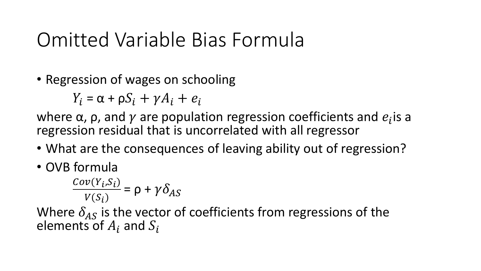### Omitted Variable Bias Formula

• Regression of wages on schooling

 $Y_i = \alpha + \rho S_i + \gamma A_i + e_i$ 

where  $\alpha$ ,  $\rho$ , and  $\gamma$  are population regression coefficients and  $e_i$  is a regression residual that is uncorrelated with all regressor

- What are the consequences of leaving ability out of regression?
- OVB formula

$$
\frac{Cov(Y_i, S_i)}{V(S_i)} = \rho + \gamma \delta_{AS}
$$

Where  $\delta_{AS}$  is the vector of coefficients from regressions of the elements of  $A_i$  and  $S_i$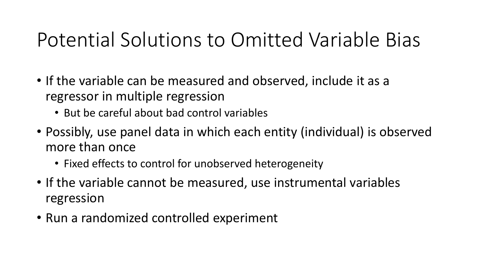# Potential Solutions to Omitted Variable Bias

- If the variable can be measured and observed, include it as a regressor in multiple regression
	- But be careful about bad control variables
- Possibly, use panel data in which each entity (individual) is observed more than once
	- Fixed effects to control for unobserved heterogeneity
- If the variable cannot be measured, use instrumental variables regression
- Run a randomized controlled experiment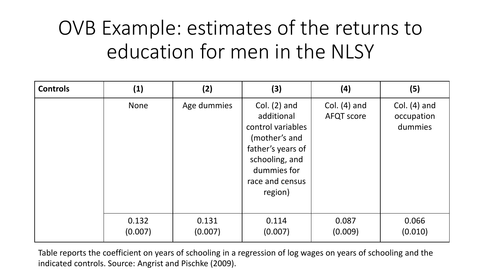# OVB Example: estimates of the returns to education for men in the NLSY

| <b>Controls</b> | (1)              | (2)              | (3)                                                                                                                                                    | (4)                                 | (5)                                     |
|-----------------|------------------|------------------|--------------------------------------------------------------------------------------------------------------------------------------------------------|-------------------------------------|-----------------------------------------|
|                 | <b>None</b>      | Age dummies      | Col. $(2)$ and<br>additional<br>control variables<br>(mother's and<br>father's years of<br>schooling, and<br>dummies for<br>race and census<br>region) | Col. $(4)$ and<br><b>AFQT</b> score | Col. $(4)$ and<br>occupation<br>dummies |
|                 | 0.132<br>(0.007) | 0.131<br>(0.007) | 0.114<br>(0.007)                                                                                                                                       | 0.087<br>(0.009)                    | 0.066<br>(0.010)                        |

Table reports the coefficient on years of schooling in a regression of log wages on years of schooling and the indicated controls. Source: Angrist and Pischke (2009).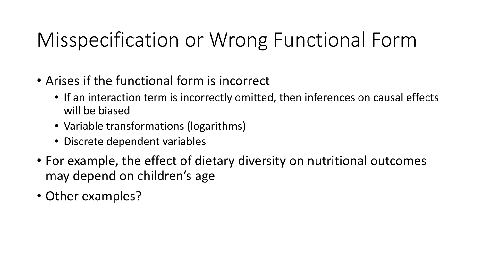# Misspecification or Wrong Functional Form

- Arises if the functional form is incorrect
	- If an interaction term is incorrectly omitted, then inferences on causal effects will be biased
	- Variable transformations (logarithms)
	- Discrete dependent variables
- For example, the effect of dietary diversity on nutritional outcomes may depend on children's age
- Other examples?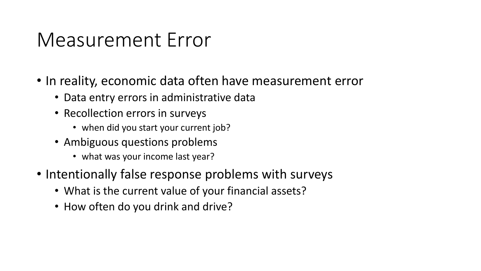#### Measurement Error

- In reality, economic data often have measurement error
	- Data entry errors in administrative data
	- Recollection errors in surveys
		- when did you start your current job?
	- Ambiguous questions problems
		- what was your income last year?
- Intentionally false response problems with surveys
	- What is the current value of your financial assets?
	- How often do you drink and drive?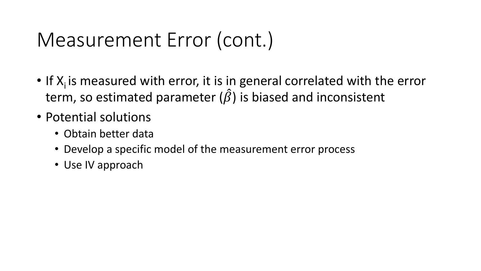### Measurement Error (cont.)

- If  $X_i$  is measured with error, it is in general correlated with the error term, so estimated parameter  $(\hat{\beta})$  is biased and inconsistent
- Potential solutions
	- Obtain better data
	- Develop a specific model of the measurement error process
	- Use IV approach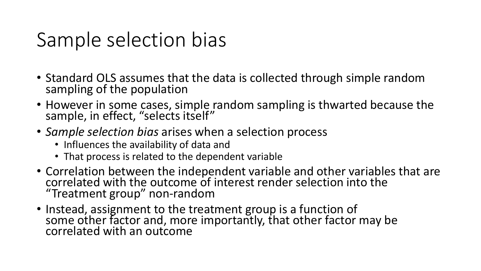### Sample selection bias

- Standard OLS assumes that the data is collected through simple random sampling of the population
- However in some cases, simple random sampling is thwarted because the sample, in effect, "selects itself"
- *Sample selection bias* arises when a selection process
	- Influences the availability of data and
	- That process is related to the dependent variable
- Correlation between the independent variable and other variables that are correlated with the outcome of interest render selection into the "Treatment group" non-random
- Instead, assignment to the treatment group is a function of some other factor and, more importantly, that other factor may be correlated with an outcome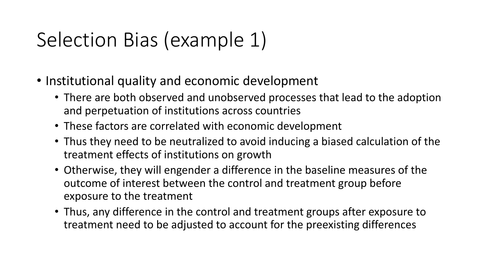# Selection Bias (example 1)

- Institutional quality and economic development
	- There are both observed and unobserved processes that lead to the adoption and perpetuation of institutions across countries
	- These factors are correlated with economic development
	- Thus they need to be neutralized to avoid inducing a biased calculation of the treatment effects of institutions on growth
	- Otherwise, they will engender a difference in the baseline measures of the outcome of interest between the control and treatment group before exposure to the treatment
	- Thus, any difference in the control and treatment groups after exposure to treatment need to be adjusted to account for the preexisting differences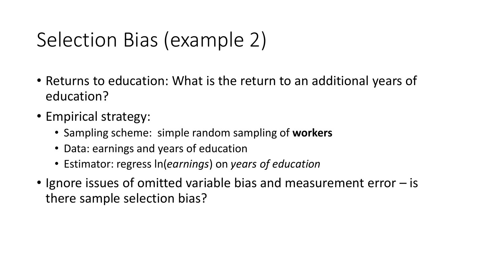# Selection Bias (example 2)

- Returns to education: What is the return to an additional years of education?
- Empirical strategy:
	- Sampling scheme: simple random sampling of **workers**
	- Data: earnings and years of education
	- Estimator: regress ln(*earnings*) on *years of education*
- Ignore issues of omitted variable bias and measurement error is there sample selection bias?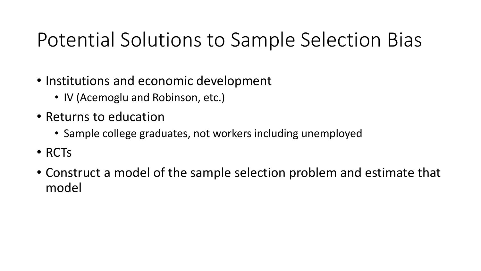# Potential Solutions to Sample Selection Bias

- Institutions and economic development
	- IV (Acemoglu and Robinson, etc.)
- Returns to education
	- Sample college graduates, not workers including unemployed
- RCTs
- Construct a model of the sample selection problem and estimate that model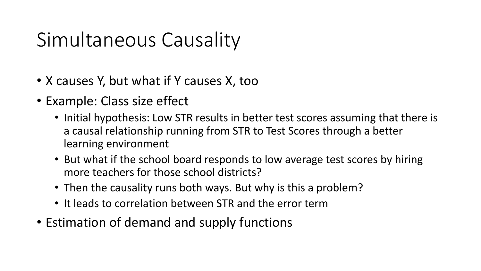# Simultaneous Causality

- X causes Y, but what if Y causes X, too
- Example: Class size effect
	- Initial hypothesis: Low STR results in better test scores assuming that there is a causal relationship running from STR to Test Scores through a better learning environment
	- But what if the school board responds to low average test scores by hiring more teachers for those school districts?
	- Then the causality runs both ways. But why is this a problem?
	- It leads to correlation between STR and the error term
- Estimation of demand and supply functions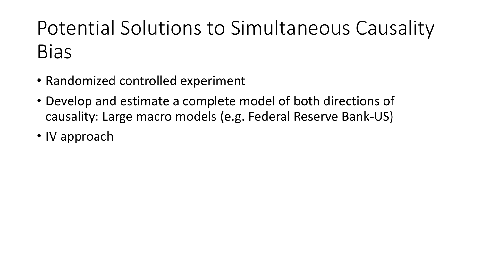# Potential Solutions to Simultaneous Causality Bias

- Randomized controlled experiment
- Develop and estimate a complete model of both directions of causality: Large macro models (e.g. Federal Reserve Bank-US)
- IV approach